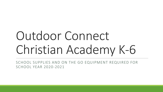# Outdoor Connect Christian Academy K-6

SCHOOL SUPPLIES AND ON THE GO EQUIPMENT REQUIRED FOR SCHOOL YEAR 2020-2021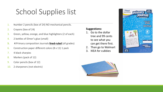# School Supplies list

- 1. Number 2 pencils (box of 24) NO mechanical pencils.
- 2. Crayons (box of 24)
- 3. Green, yellow, orange, and blue highlighters (2 of each)
- 4. 2 bottles of Elmer's glue (small)
- **5. 4** Primary composition Journals **lined-ruled** (all grades)
- 6. Construction paper different colors  $(8 \times 11)$  1 pack
- 7. 4 black sharpies
- 8. Markers (pack of 12)
- 9. Color pencils (box of 12)
- 10. 2 sharpeners (not electric)

#### **Suggestions:**

- 1. Go to the dollar tree and 99 cents to see what you can get there first.
- 2. Than go to Walmart
- 3. IKEA for cubbies



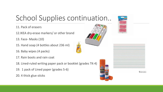## School Supplies continuation..

11. Pack of erasers

12.IKEA dry-erase markers/ or other brand

- 13. Face- Masks (10)
- 15. Hand soap (4 bottles about 236 ml)
- 16. Baby wipes (4 packs)
- 17. Rain boots and rain coat
- 18. Lined-ruled writing paper pack or booklet (grades TK-4)
- 19. 1 pack of Lined paper (grades 5-6)
- 20. 4 thick glue sticks





**@2020**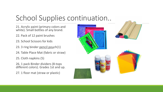# School Supplies continuation..

21. Acrylic paint (primary colors and white). Small bottles of any brand.

- 22. Pack of 12 paint brushes
- 23. School Scissors for kids
- 23. 3 ring binder pencil pouch(1)
- 24. Table Place Mat (fabric or straw)
- 25. Cloth napkins (5)

26. 1 pack Binder dividers (8-tops) different colors). Grades 1st and up.

27. 1 floor mat (straw or plastic)

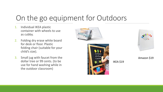#### On the go equipment for Outdoors

- 1. Individual IKEA plastic container with wheels to use as cubby.
- 2. Folding dry erase white board for desk or floor. Plastic folding chair (suitable for your child's size).
- 3. Small jug with faucet from the dollar tree or 99 cents. (to be use for hand washing while in the outdoor classroom)





**IKEA** \$19



Amazon \$19